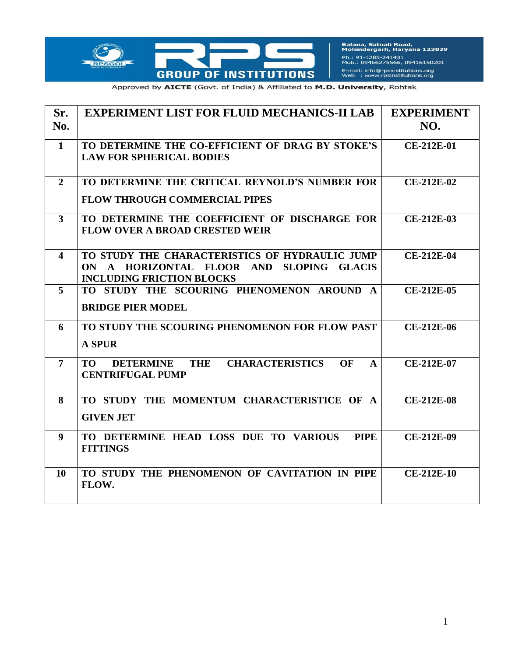

Balana, Satnali Road,<br>Mohindergarh, Haryana 123029 Ph.: 91-1285-241431<br>Mob.: 09466275566, 09416150201 E-mail: info@rpsinstitutions.org<br>Web : www.rpsinstitutions.org

Approved by AICTE (Govt. of India) & Affiliated to M.D. University, Rohtak

| Sr.<br>No.     | <b>EXPERIMENT LIST FOR FLUID MECHANICS-II LAB</b>                                                                              | <b>EXPERIMENT</b><br>NO. |
|----------------|--------------------------------------------------------------------------------------------------------------------------------|--------------------------|
| $\mathbf{1}$   | TO DETERMINE THE CO-EFFICIENT OF DRAG BY STOKE'S<br><b>LAW FOR SPHERICAL BODIES</b>                                            | CE-212E-01               |
| $\overline{2}$ | TO DETERMINE THE CRITICAL REYNOLD'S NUMBER FOR<br><b>FLOW THROUGH COMMERCIAL PIPES</b>                                         | <b>CE-212E-02</b>        |
| 3              | TO DETERMINE THE COEFFICIENT OF DISCHARGE FOR<br><b>FLOW OVER A BROAD CRESTED WEIR</b>                                         | CE-212E-03               |
| 4              | TO STUDY THE CHARACTERISTICS OF HYDRAULIC JUMP<br>ON A HORIZONTAL FLOOR AND SLOPING GLACIS<br><b>INCLUDING FRICTION BLOCKS</b> | <b>CE-212E-04</b>        |
| 5              | TO STUDY THE SCOURING PHENOMENON AROUND A<br><b>BRIDGE PIER MODEL</b>                                                          | <b>CE-212E-05</b>        |
| 6              | TO STUDY THE SCOURING PHENOMENON FOR FLOW PAST<br><b>A SPUR</b>                                                                | CE-212E-06               |
| $\overline{7}$ | <b>CHARACTERISTICS</b><br><b>TO</b><br><b>DETERMINE</b><br>THE<br>OF<br>$\mathbf{A}$<br><b>CENTRIFUGAL PUMP</b>                | CE-212E-07               |
| 8              | TO STUDY THE MOMENTUM CHARACTERISTICE OF A<br><b>GIVEN JET</b>                                                                 | <b>CE-212E-08</b>        |
| 9              | TO DETERMINE HEAD LOSS DUE TO VARIOUS<br><b>PIPE</b><br><b>FITTINGS</b>                                                        | <b>CE-212E-09</b>        |
| 10             | TO STUDY THE PHENOMENON OF CAVITATION IN PIPE<br>FLOW.                                                                         | <b>CE-212E-10</b>        |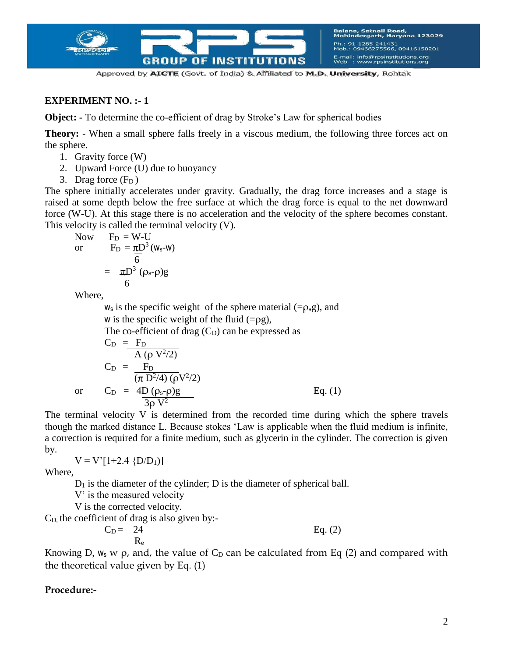

## **EXPERIMENT NO. :- 1**

**Object:** - To determine the co-efficient of drag by Stroke's Law for spherical bodies

**Theory:** - When a small sphere falls freely in a viscous medium, the following three forces act on the sphere.

- 1. Gravity force (W)
- 2. Upward Force (U) due to buoyancy
- 3. Drag force  $(F_D)$

The sphere initially accelerates under gravity. Gradually, the drag force increases and a stage is raised at some depth below the free surface at which the drag force is equal to the net downward force (W-U). At this stage there is no acceleration and the velocity of the sphere becomes constant. This velocity is called the terminal velocity (V).

Now 
$$
F_D = W-U
$$
  
or  $F_D = \pi D^3 (w_s-w)$   

$$
= \pi D^3 (\rho_s - \rho)g
$$

$$
= 6
$$

Where,

 $w_s$  is the specific weight of the sphere material (= $\rho_s$ g), and w is the specific weight of the fluid  $(=\rho g)$ , The co-efficient of drag  $(C<sub>D</sub>)$  can be expressed as  $C_D = F_D$  $A(ρ V<sup>2</sup>/2)$  $C_D = F_D$  $(\pi D^2/4) (\rho V^2/2)$ or  $C_D = 4D (\rho_s - \rho)g$  Eq. (1)  $3\rho V^2$ 

The terminal velocity V is determined from the recorded time during which the sphere travels though the marked distance L. Because stokes 'Law is applicable when the fluid medium is infinite, a correction is required for a finite medium, such as glycerin in the cylinder. The correction is given by.

$$
V = V'[1+2.4 \{D/D_1\}]
$$

Where,

 $D_1$  is the diameter of the cylinder; D is the diameter of spherical ball.

V' is the measured velocity

V is the corrected velocity.

 $C<sub>D</sub>$ , the coefficient of drag is also given by:-

$$
C_D = \frac{24}{R_e}
$$
 Eq. (2)

Knowing D,  $w_s$  w  $\rho$ , and, the value of  $C_D$  can be calculated from Eq (2) and compared with the theoretical value given by Eq. (1)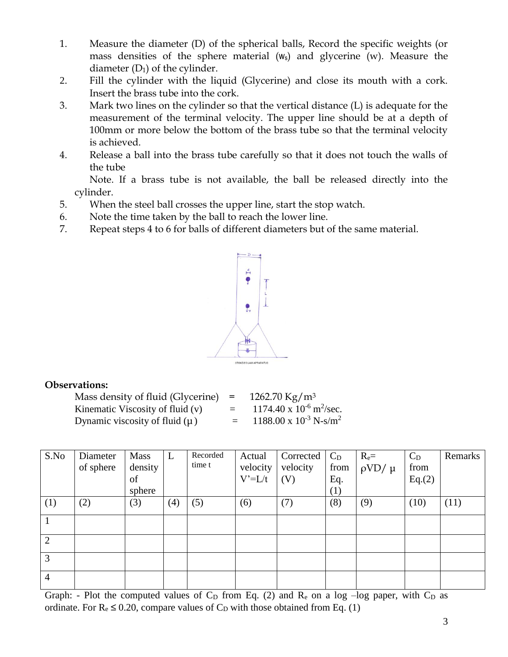- 1. Measure the diameter (D) of the spherical balls, Record the specific weights (or mass densities of the sphere material  $(w_s)$  and glycerine  $(w)$ . Measure the diameter  $(D_1)$  of the cylinder.
- 2. Fill the cylinder with the liquid (Glycerine) and close its mouth with a cork. Insert the brass tube into the cork.
- 3. Mark two lines on the cylinder so that the vertical distance (L) is adequate for the measurement of the terminal velocity. The upper line should be at a depth of 100mm or more below the bottom of the brass tube so that the terminal velocity is achieved.
- 4. Release a ball into the brass tube carefully so that it does not touch the walls of the tube

Note. If a brass tube is not available, the ball be released directly into the cylinder.

- 5. When the steel ball crosses the upper line, start the stop watch.
- 6. Note the time taken by the ball to reach the lower line.
- 7. Repeat steps 4 to 6 for balls of different diameters but of the same material.



## **Observations:**

Mass density of fluid (Glycerine) =  $1262.70 \text{ kg/m}^3$ Kinematic Viscosity of fluid  $(v)$ Dynamic viscosity of fluid (μ)  $= 1188.00 \times 10^{-3} \text{ N-s/m}^2$ 

 $=$  1174.40 x 10<sup>-6</sup> m<sup>2</sup>/sec.

| S.No           | Diameter<br>of sphere | Mass<br>density<br>of<br>sphere | L   | Recorded<br>time t | Actual<br>velocity<br>$V'=L/t$ | Corrected<br>velocity<br>(V) | $C_D$<br>from<br>Eq.<br>(1) | $R_e=$<br>$\rho V D / \mu$ | $C_D$<br>from<br>Eq.(2) | Remarks |
|----------------|-----------------------|---------------------------------|-----|--------------------|--------------------------------|------------------------------|-----------------------------|----------------------------|-------------------------|---------|
| (1)            | (2)                   | (3)                             | (4) | (5)                | (6)                            | (7)                          | (8)                         | (9)                        | (10)                    | (11)    |
|                |                       |                                 |     |                    |                                |                              |                             |                            |                         |         |
| $\overline{2}$ |                       |                                 |     |                    |                                |                              |                             |                            |                         |         |
| 3              |                       |                                 |     |                    |                                |                              |                             |                            |                         |         |
| $\overline{4}$ |                       |                                 |     |                    |                                |                              |                             |                            |                         |         |

Graph: - Plot the computed values of  $C_D$  from Eq. (2) and  $R_e$  on a log –log paper, with  $C_D$  as ordinate. For  $R_e \le 0.20$ , compare values of  $C_D$  with those obtained from Eq. (1)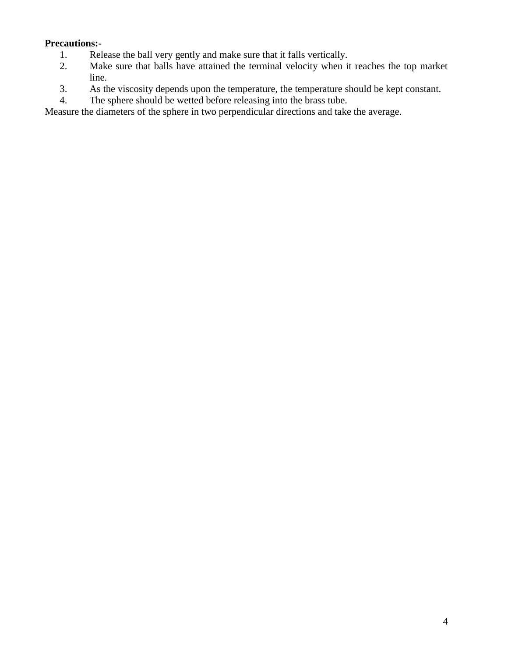# **Precautions:-**

- 1. Release the ball very gently and make sure that it falls vertically.<br>2. Make sure that balls have attained the terminal velocity when it
- Make sure that balls have attained the terminal velocity when it reaches the top market line.
- 3. As the viscosity depends upon the temperature, the temperature should be kept constant.
- 4. The sphere should be wetted before releasing into the brass tube.

Measure the diameters of the sphere in two perpendicular directions and take the average.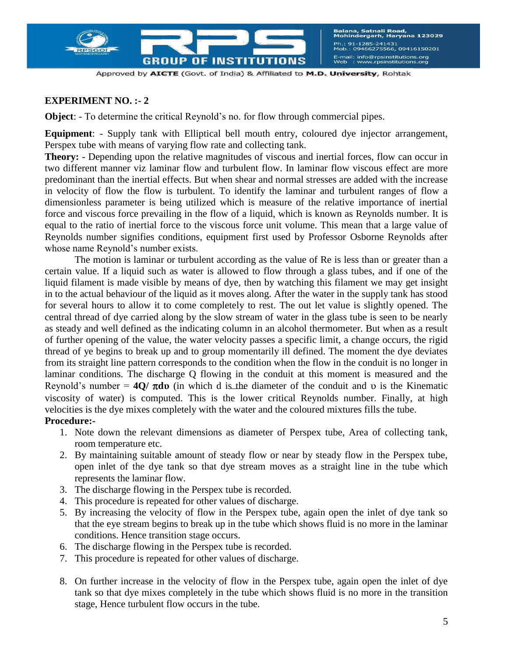

### **EXPERIMENT NO. :- 2**

**Object**: - To determine the critical Reynold's no. for flow through commercial pipes.

**Equipment**: - Supply tank with Elliptical bell mouth entry, coloured dye injector arrangement, Perspex tube with means of varying flow rate and collecting tank.

**Theory:** - Depending upon the relative magnitudes of viscous and inertial forces, flow can occur in two different manner viz laminar flow and turbulent flow. In laminar flow viscous effect are more predominant than the inertial effects. But when shear and normal stresses are added with the increase in velocity of flow the flow is turbulent. To identify the laminar and turbulent ranges of flow a dimensionless parameter is being utilized which is measure of the relative importance of inertial force and viscous force prevailing in the flow of a liquid, which is known as Reynolds number. It is equal to the ratio of inertial force to the viscous force unit volume. This mean that a large value of Reynolds number signifies conditions, equipment first used by Professor Osborne Reynolds after whose name Reynold's number exists.

The motion is laminar or turbulent according as the value of Re is less than or greater than a certain value. If a liquid such as water is allowed to flow through a glass tubes, and if one of the liquid filament is made visible by means of dye, then by watching this filament we may get insight in to the actual behaviour of the liquid as it moves along. After the water in the supply tank has stood for several hours to allow it to come completely to rest. The out let value is slightly opened. The central thread of dye carried along by the slow stream of water in the glass tube is seen to be nearly as steady and well defined as the indicating column in an alcohol thermometer. But when as a result of further opening of the value, the water velocity passes a specific limit, a change occurs, the rigid thread of ye begins to break up and to group momentarily ill defined. The moment the dye deviates from its straight line pattern corresponds to the condition when the flow in the conduit is no longer in laminar conditions. The discharge Q flowing in the conduit at this moment is measured and the Reynold's number =  $4Q/\pi dv$  (in which d is the diameter of the conduit and v is the Kinematic viscosity of water) is computed. This is the lower critical Reynolds number. Finally, at high velocities is the dye mixes completely with the water and the coloured mixtures fills the tube.

- 1. Note down the relevant dimensions as diameter of Perspex tube, Area of collecting tank, room temperature etc.
- 2. By maintaining suitable amount of steady flow or near by steady flow in the Perspex tube, open inlet of the dye tank so that dye stream moves as a straight line in the tube which represents the laminar flow.
- 3. The discharge flowing in the Perspex tube is recorded.
- 4. This procedure is repeated for other values of discharge.
- 5. By increasing the velocity of flow in the Perspex tube, again open the inlet of dye tank so that the eye stream begins to break up in the tube which shows fluid is no more in the laminar conditions. Hence transition stage occurs.
- 6. The discharge flowing in the Perspex tube is recorded.
- 7. This procedure is repeated for other values of discharge.
- 8. On further increase in the velocity of flow in the Perspex tube, again open the inlet of dye tank so that dye mixes completely in the tube which shows fluid is no more in the transition stage, Hence turbulent flow occurs in the tube.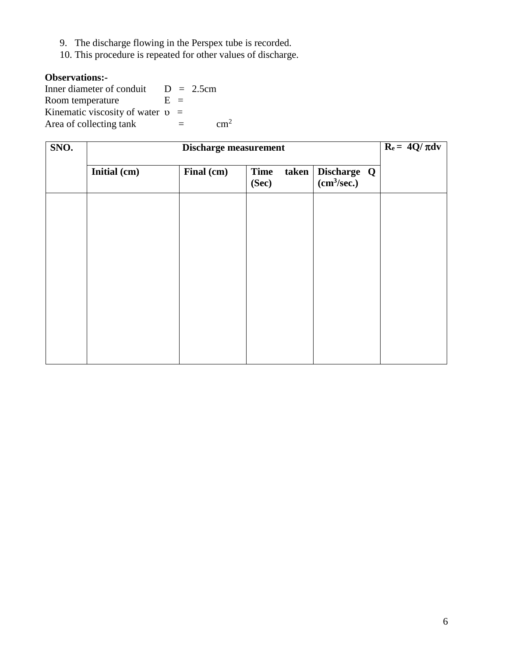- 9. The discharge flowing in the Perspex tube is recorded.
- 10. This procedure is repeated for other values of discharge.

## **Observations:-**

Inner diameter of conduit  $D = 2.5$ cm Room temperature  $E =$ Kinematic viscosity of water  $v =$ Area of collecting tank  $=$  cm<sup>2</sup>

| SNO. | $R_e = 4Q/\pi dv$<br><b>Discharge measurement</b> |            |                                 |                                        |  |  |  |  |  |  |  |  |
|------|---------------------------------------------------|------------|---------------------------------|----------------------------------------|--|--|--|--|--|--|--|--|
|      | Initial (cm)                                      | Final (cm) | <b>Time</b><br>taken  <br>(Sec) | Discharge Q<br>(cm <sup>3</sup> /sec.) |  |  |  |  |  |  |  |  |
|      |                                                   |            |                                 |                                        |  |  |  |  |  |  |  |  |
|      |                                                   |            |                                 |                                        |  |  |  |  |  |  |  |  |
|      |                                                   |            |                                 |                                        |  |  |  |  |  |  |  |  |
|      |                                                   |            |                                 |                                        |  |  |  |  |  |  |  |  |
|      |                                                   |            |                                 |                                        |  |  |  |  |  |  |  |  |
|      |                                                   |            |                                 |                                        |  |  |  |  |  |  |  |  |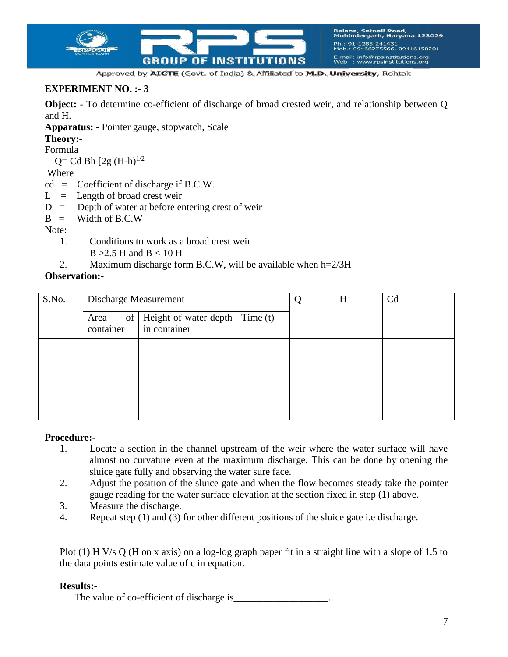

## **EXPERIMENT NO. :- 3**

**Object:** - To determine co-efficient of discharge of broad crested weir, and relationship between Q and H.

**Apparatus: -** Pointer gauge, stopwatch, Scale

**Theory:-**

Formula

 $Q= Cd Bh [2g (H-h)<sup>1/2</sup>]$ 

Where

cd = Coefficient of discharge if B.C.W.

- $L =$  Length of broad crest weir
- $D =$  Depth of water at before entering crest of weir
- $B =$  Width of B.C.W

Note:

1. Conditions to work as a broad crest weir

 $B > 2.5$  H and  $B < 10$  H

2. Maximum discharge form B.C.W, will be available when h=2/3H

#### **Observation:-**

| S.No. | Discharge Measurement   |                                                        |  | H | Cd |
|-------|-------------------------|--------------------------------------------------------|--|---|----|
|       | of<br>Area<br>container | Height of water depth $\vert$ Time (t)<br>in container |  |   |    |
|       |                         |                                                        |  |   |    |
|       |                         |                                                        |  |   |    |
|       |                         |                                                        |  |   |    |

#### **Procedure:-**

- 1. Locate a section in the channel upstream of the weir where the water surface will have almost no curvature even at the maximum discharge. This can be done by opening the sluice gate fully and observing the water sure face.
- 2. Adjust the position of the sluice gate and when the flow becomes steady take the pointer gauge reading for the water surface elevation at the section fixed in step (1) above.
- 3. Measure the discharge.
- 4. Repeat step (1) and (3) for other different positions of the sluice gate i.e discharge.

Plot (1) H V/s Q (H on x axis) on a log-log graph paper fit in a straight line with a slope of 1.5 to the data points estimate value of c in equation.

## **Results:-**

The value of co-efficient of discharge is\_\_\_\_\_\_\_\_\_\_\_\_\_\_\_\_\_\_\_.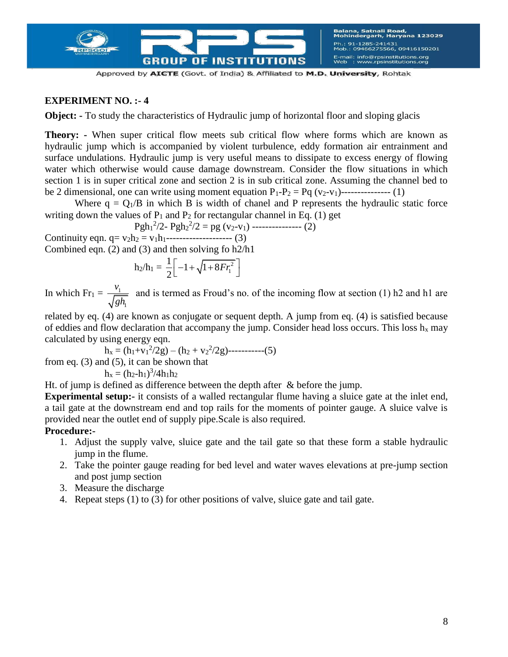

## **EXPERIMENT NO. :- 4**

**Object:** - To study the characteristics of Hydraulic jump of horizontal floor and sloping glacis

**Theory: -** When super critical flow meets sub critical flow where forms which are known as hydraulic jump which is accompanied by violent turbulence, eddy formation air entrainment and surface undulations. Hydraulic jump is very useful means to dissipate to excess energy of flowing water which otherwise would cause damage downstream. Consider the flow situations in which section 1 is in super critical zone and section 2 is in sub critical zone. Assuming the channel bed to be 2 dimensional, one can write using moment equation  $P_1-P_2 = P_q (v_2-v_1)$ ---------------- (1)

Where  $q = Q_1/B$  in which B is width of chanel and P represents the hydraulic static force writing down the values of  $P_1$  and  $P_2$  for rectangular channel in Eq. (1) get

$$
Pgh_1^2/2 - Pgh_2^2/2 = pg (v_2 - v_1) \cdots
$$
 (2)

Continuity eqn.  $q = v_2h_2 = v_1h_1$ ---------------------- (3) Combined eqn. (2) and (3) and then solving fo h2/h1

$$
h_2/h_1=\frac{1}{2}\biggl[-1+\sqrt{1+8Fr_1^2}\,\biggr]
$$

In which  $Fr_1 = \frac{v_1}{\sqrt{2}}$ 1 *v gh* and is termed as Froud's no. of the incoming flow at section (1) h2 and h1 are

related by eq. (4) are known as conjugate or sequent depth. A jump from eq. (4) is satisfied because of eddies and flow declaration that accompany the jump. Consider head loss occurs. This loss  $h_x$  may calculated by using energy eqn.

h<sup>x</sup> = (h1+v<sup>1</sup> 2 /2g) – (h<sup>2</sup> + v<sup>2</sup> 2 /2g)-----------(5)

from eq. (3) and (5), it can be shown that

$$
h_x = (h_2\hbox{-} h_1)^3/4h_1h_2
$$

Ht. of jump is defined as difference between the depth after & before the jump.

**Experimental setup:**- it consists of a walled rectangular flume having a sluice gate at the inlet end, a tail gate at the downstream end and top rails for the moments of pointer gauge. A sluice valve is provided near the outlet end of supply pipe.Scale is also required.

- 1. Adjust the supply valve, sluice gate and the tail gate so that these form a stable hydraulic jump in the flume.
- 2. Take the pointer gauge reading for bed level and water waves elevations at pre-jump section and post jump section
- 3. Measure the discharge
- 4. Repeat steps (1) to (3) for other positions of valve, sluice gate and tail gate.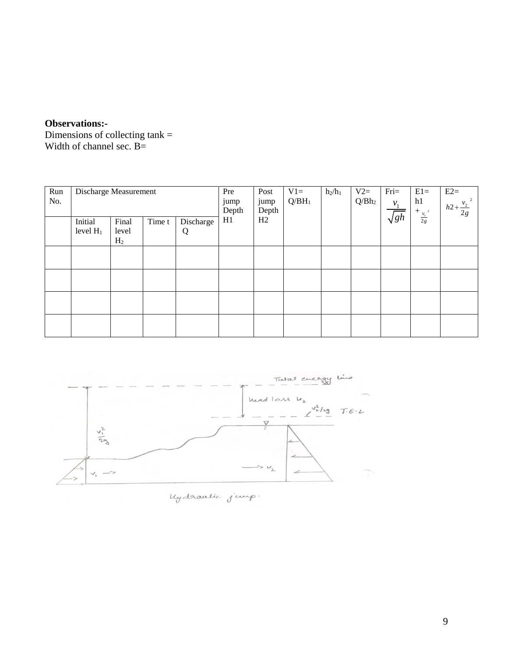# **Observations:-**

Dimensions of collecting tank = Width of channel sec. B=

| Run<br>No. | Discharge Measurement  |                                  |        |                | Pre<br>jump<br>Depth | Post<br>jump<br>Depth | $V1=$<br>$Q/BH_1$ | $h_2/h_1$ | $V2=$<br>$Q/Bh_2$ | $Fri=$<br>$v_1$ | $E1=$<br>h1<br>$+\underset{\frac{\nu_{\text{\tiny{l}}}}{2g}}{\frac{\nu_{\text{\tiny{l}}}}{2g}}$ | $E2=$<br>$h2 + \frac{v_2}{2g}$ |
|------------|------------------------|----------------------------------|--------|----------------|----------------------|-----------------------|-------------------|-----------|-------------------|-----------------|-------------------------------------------------------------------------------------------------|--------------------------------|
|            | Initial<br>level $H_1$ | Final<br>level<br>H <sub>2</sub> | Time t | Discharge<br>Q | H1                   | H2                    |                   |           |                   | $\sqrt{gh}$     |                                                                                                 |                                |
|            |                        |                                  |        |                |                      |                       |                   |           |                   |                 |                                                                                                 |                                |
|            |                        |                                  |        |                |                      |                       |                   |           |                   |                 |                                                                                                 |                                |
|            |                        |                                  |        |                |                      |                       |                   |           |                   |                 |                                                                                                 |                                |
|            |                        |                                  |        |                |                      |                       |                   |           |                   |                 |                                                                                                 |                                |



My drawlie jump.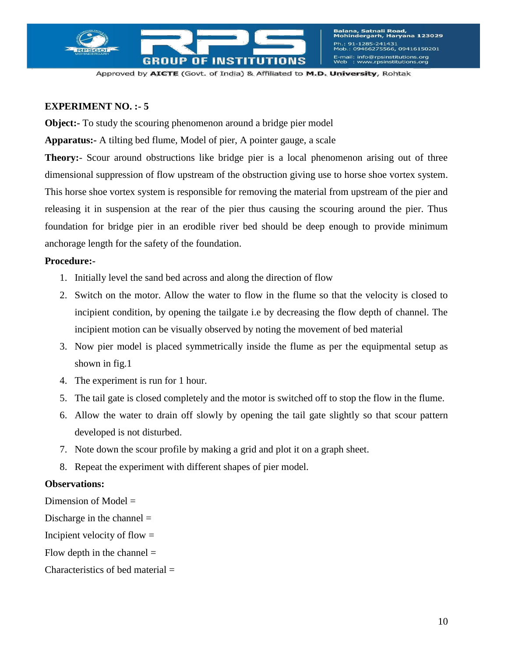

## **EXPERIMENT NO. :- 5**

**Object:** To study the scouring phenomenon around a bridge pier model

**Apparatus:-** A tilting bed flume, Model of pier, A pointer gauge, a scale

**Theory:**- Scour around obstructions like bridge pier is a local phenomenon arising out of three dimensional suppression of flow upstream of the obstruction giving use to horse shoe vortex system. This horse shoe vortex system is responsible for removing the material from upstream of the pier and releasing it in suspension at the rear of the pier thus causing the scouring around the pier. Thus foundation for bridge pier in an erodible river bed should be deep enough to provide minimum anchorage length for the safety of the foundation.

#### **Procedure:-**

- 1. Initially level the sand bed across and along the direction of flow
- 2. Switch on the motor. Allow the water to flow in the flume so that the velocity is closed to incipient condition, by opening the tailgate i.e by decreasing the flow depth of channel. The incipient motion can be visually observed by noting the movement of bed material
- 3. Now pier model is placed symmetrically inside the flume as per the equipmental setup as shown in fig.1
- 4. The experiment is run for 1 hour.
- 5. The tail gate is closed completely and the motor is switched off to stop the flow in the flume.
- 6. Allow the water to drain off slowly by opening the tail gate slightly so that scour pattern developed is not disturbed.
- 7. Note down the scour profile by making a grid and plot it on a graph sheet.
- 8. Repeat the experiment with different shapes of pier model.

## **Observations:**

Dimension of Model =

Discharge in the channel  $=$ 

Incipient velocity of flow  $=$ 

Flow depth in the channel  $=$ 

Characteristics of bed material =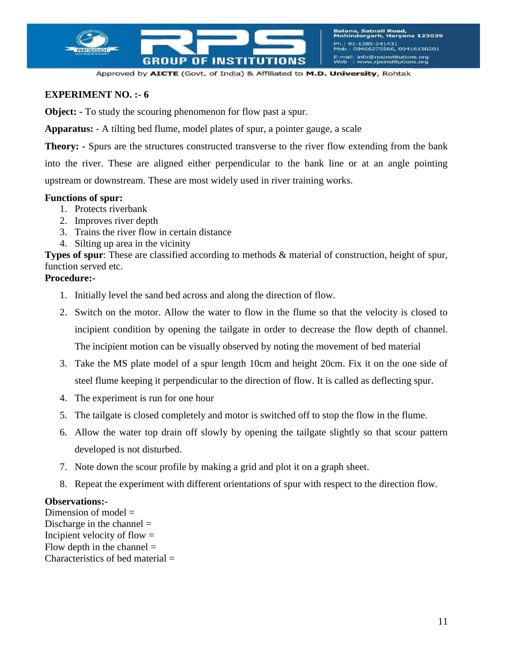

## **EXPERIMENT NO. :- 6**

**Object:** - To study the scouring phenomenon for flow past a spur.

**Apparatus:** - A tilting bed flume, model plates of spur, a pointer gauge, a scale

**Theory: -** Spurs are the structures constructed transverse to the river flow extending from the bank into the river. These are aligned either perpendicular to the bank line or at an angle pointing upstream or downstream. These are most widely used in river training works.

#### **Functions of spur:**

- 1. Protects riverbank
- 2. Improves river depth
- 3. Trains the river flow in certain distance
- 4. Silting up area in the vicinity

**Types of spur**: These are classified according to methods & material of construction, height of spur, function served etc.

#### **Procedure:-**

- 1. Initially level the sand bed across and along the direction of flow.
- 2. Switch on the motor. Allow the water to flow in the flume so that the velocity is closed to incipient condition by opening the tailgate in order to decrease the flow depth of channel. The incipient motion can be visually observed by noting the movement of bed material
- 3. Take the MS plate model of a spur length 10cm and height 20cm. Fix it on the one side of steel flume keeping it perpendicular to the direction of flow. It is called as deflecting spur.
- 4. The experiment is run for one hour
- 5. The tailgate is closed completely and motor is switched off to stop the flow in the flume.
- 6. Allow the water top drain off slowly by opening the tailgate slightly so that scour pattern developed is not disturbed.
- 7. Note down the scour profile by making a grid and plot it on a graph sheet.
- 8. Repeat the experiment with different orientations of spur with respect to the direction flow.

#### **Observations:-**

Dimension of model  $=$ Discharge in the channel  $=$ Incipient velocity of flow  $=$ Flow depth in the channel  $=$ Characteristics of bed material  $=$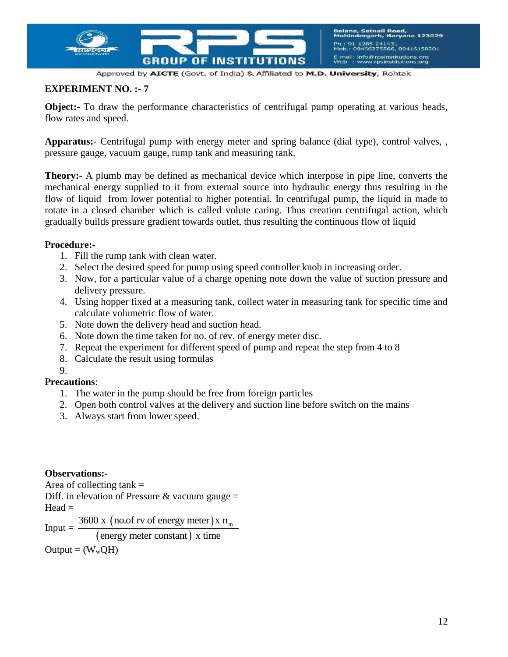

## **EXPERIMENT NO. :- 7**

**Object:** To draw the performance characteristics of centrifugal pump operating at various heads, flow rates and speed.

**Apparatus:**- Centrifugal pump with energy meter and spring balance (dial type), control valves, , pressure gauge, vacuum gauge, rump tank and measuring tank.

**Theory:-** A plumb may be defined as mechanical device which interpose in pipe line, converts the mechanical energy supplied to it from external source into hydraulic energy thus resulting in the flow of liquid from lower potential to higher potential. In centrifugal pump, the liquid in made to rotate in a closed chamber which is called volute caring. Thus creation centrifugal action, which gradually builds pressure gradient towards outlet, thus resulting the continuous flow of liquid

#### **Procedure:-**

- 1. Fill the rump tank with clean water.
- 2. Select the desired speed for pump using speed controller knob in increasing order.
- 3. Now, for a particular value of a charge opening note down the value of suction pressure and delivery pressure.
- 4. Using hopper fixed at a measuring tank, collect water in measuring tank for specific time and calculate volumetric flow of water.
- 5. Note down the delivery head and suction head.
- 6. Note down the time taken for no. of rev. of energy meter disc.
- 7. Repeat the experiment for different speed of pump and repeat the step from 4 to 8
- 8. Calculate the result using formulas

#### 9.

## **Precautions**:

- 1. The water in the pump should be free from foreign particles
- 2. Open both control valves at the delivery and suction line before switch on the mains
- 3. Always start from lower speed.

## **Observations:-**

Area of collecting  $tank =$ Diff. in elevation of Pressure & vacuum gauge  $=$  $Head =$  $Input =$ (no.of rv of energy meter) (energy meter constant) 3600 x (no.of rv of energy meter) x  $n_m$  $\frac{x \text{ (no.of rv of energy meter)}x}{x \text{ energy meter constant}}$ 

 $Output = (W_wOH)$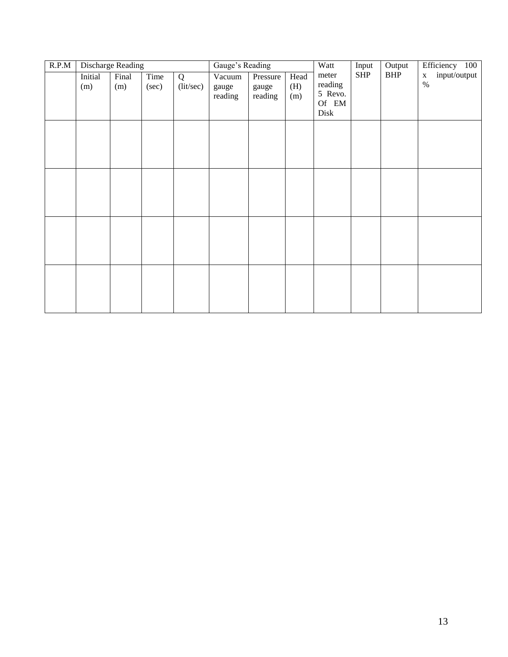| R.P.M | <b>Discharge Reading</b> |              |               |                | Gauge's Reading            |                              |                    | Watt<br>Input                                | Output      | Efficiency 100 |                                     |
|-------|--------------------------|--------------|---------------|----------------|----------------------------|------------------------------|--------------------|----------------------------------------------|-------------|----------------|-------------------------------------|
|       | Initial<br>(m)           | Final<br>(m) | Time<br>(sec) | Q<br>(lit/sec) | Vacuum<br>gauge<br>reading | Pressure<br>gauge<br>reading | Head<br>(H)<br>(m) | meter<br>reading<br>5 Revo.<br>Of EM<br>Disk | ${\rm SHP}$ | BHP            | input/output<br>$\mathbf X$<br>$\%$ |
|       |                          |              |               |                |                            |                              |                    |                                              |             |                |                                     |
|       |                          |              |               |                |                            |                              |                    |                                              |             |                |                                     |
|       |                          |              |               |                |                            |                              |                    |                                              |             |                |                                     |
|       |                          |              |               |                |                            |                              |                    |                                              |             |                |                                     |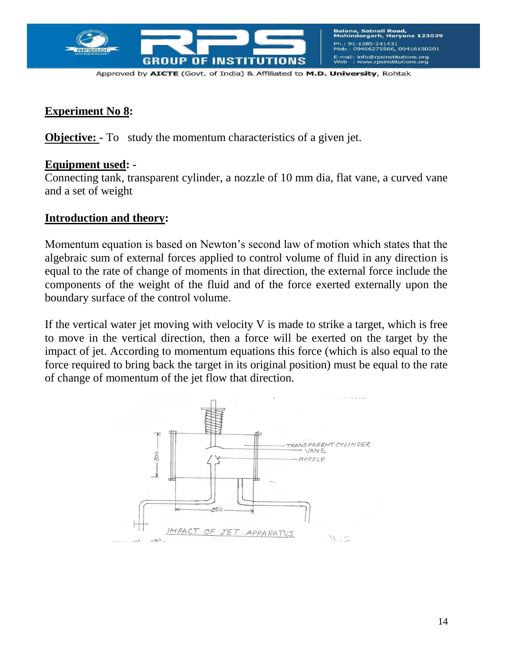

# **Experiment No 8:**

**Objective:** - To study the momentum characteristics of a given jet.

# **Equipment used: -**

Connecting tank, transparent cylinder, a nozzle of 10 mm dia, flat vane, a curved vane and a set of weight

# **Introduction and theory:**

Momentum equation is based on Newton's second law of motion which states that the algebraic sum of external forces applied to control volume of fluid in any direction is equal to the rate of change of moments in that direction, the external force include the components of the weight of the fluid and of the force exerted externally upon the boundary surface of the control volume.

If the vertical water jet moving with velocity V is made to strike a target, which is free to move in the vertical direction, then a force will be exerted on the target by the impact of jet. According to momentum equations this force (which is also equal to the force required to bring back the target in its original position) must be equal to the rate of change of momentum of the jet flow that direction.

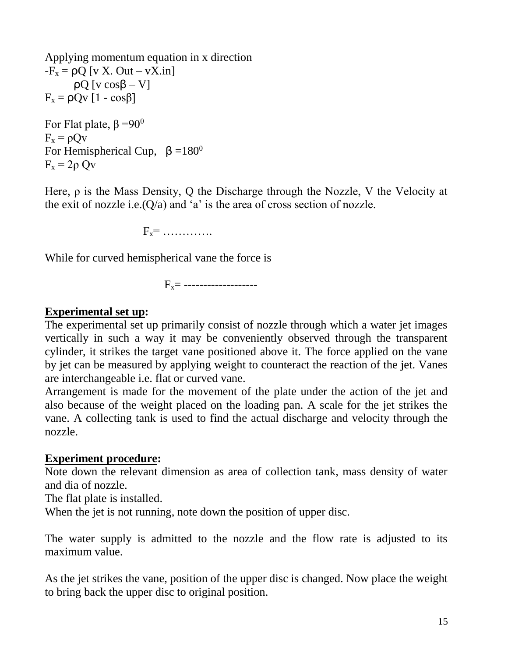Applying momentum equation in x direction  $-F_x = \rho Q$  [v X. Out – vX.in]  $ρQ [v cosβ – V]$  $F_x = \rho Qv [1 - \cos\beta]$ For Flat plate,  $\beta = 90^\circ$  $F_x = \rho Ov$ For Hemispherical Cup,  $\beta = 180^\circ$  $F_x = 2\rho Qv$ 

Here, ρ is the Mass Density, Q the Discharge through the Nozzle, V the Velocity at the exit of nozzle i.e. $(Q/a)$  and 'a' is the area of cross section of nozzle.

 $F_x =$  ……………

While for curved hemispherical vane the force is

Fx= -------------------

# **Experimental set up:**

The experimental set up primarily consist of nozzle through which a water jet images vertically in such a way it may be conveniently observed through the transparent cylinder, it strikes the target vane positioned above it. The force applied on the vane by jet can be measured by applying weight to counteract the reaction of the jet. Vanes are interchangeable i.e. flat or curved vane.

Arrangement is made for the movement of the plate under the action of the jet and also because of the weight placed on the loading pan. A scale for the jet strikes the vane. A collecting tank is used to find the actual discharge and velocity through the nozzle.

# **Experiment procedure:**

Note down the relevant dimension as area of collection tank, mass density of water and dia of nozzle.

The flat plate is installed.

When the jet is not running, note down the position of upper disc.

The water supply is admitted to the nozzle and the flow rate is adjusted to its maximum value.

As the jet strikes the vane, position of the upper disc is changed. Now place the weight to bring back the upper disc to original position.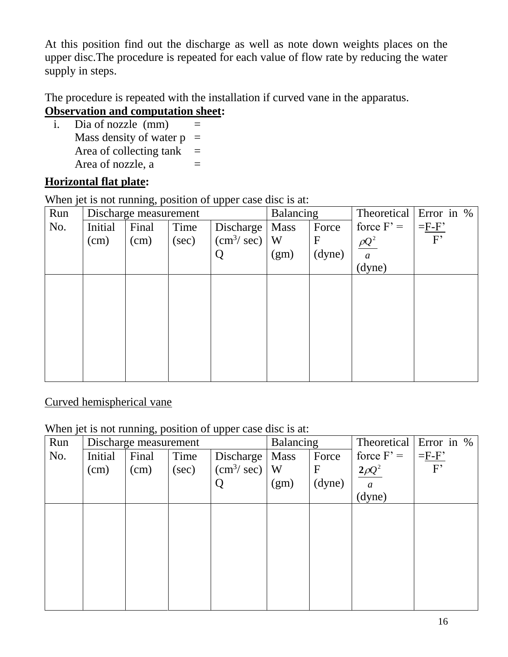At this position find out the discharge as well as note down weights places on the upper disc.The procedure is repeated for each value of flow rate by reducing the water supply in steps.

The procedure is repeated with the installation if curved vane in the apparatus. **Observation and computation sheet:** 

i. Dia of nozzle  $(mm)$  = Mass density of water  $p =$ Area of collecting tank  $=$ Area of nozzle,  $a =$ 

# **Horizontal flat plate:**

When jet is not running, position of upper case disc is at:

| Run |         | Discharge measurement |       |                                       | Balancing   |             | Theoretical      | Error in %      |
|-----|---------|-----------------------|-------|---------------------------------------|-------------|-------------|------------------|-----------------|
| No. | Initial | Final                 | Time  | Discharge                             | <b>Mass</b> | Force       | force $F' =$     | $=$ $F$ - $F$ ' |
|     | (cm)    | (cm)                  | (sec) | $\left(\text{cm}^3/\text{sec}\right)$ | W           | $\mathbf F$ | $\rho Q^2$       | F               |
|     |         |                       |       | Q                                     | (gm)        | (dyne)      | $\boldsymbol{a}$ |                 |
|     |         |                       |       |                                       |             |             | (dyne)           |                 |
|     |         |                       |       |                                       |             |             |                  |                 |
|     |         |                       |       |                                       |             |             |                  |                 |
|     |         |                       |       |                                       |             |             |                  |                 |
|     |         |                       |       |                                       |             |             |                  |                 |
|     |         |                       |       |                                       |             |             |                  |                 |
|     |         |                       |       |                                       |             |             |                  |                 |
|     |         |                       |       |                                       |             |             |                  |                 |
|     |         |                       |       |                                       |             |             |                  |                 |

# Curved hemispherical vane

# When jet is not running, position of upper case disc is at:

| Run | Discharge measurement |       |       |                                       | Balancing   |             | Theoretical      | Error in % |
|-----|-----------------------|-------|-------|---------------------------------------|-------------|-------------|------------------|------------|
| No. | Initial               | Final | Time  | Discharge                             | <b>Mass</b> | Force       | force $F' =$     | $=F-F'$    |
|     | (cm)                  | (cm)  | (sec) | $\left(\text{cm}^3/\text{sec}\right)$ | W           | $\mathbf F$ | $2\rho Q^2$      | F          |
|     |                       |       |       |                                       | (gm)        | (dyne)      | $\boldsymbol{a}$ |            |
|     |                       |       |       |                                       |             |             | (dyne)           |            |
|     |                       |       |       |                                       |             |             |                  |            |
|     |                       |       |       |                                       |             |             |                  |            |
|     |                       |       |       |                                       |             |             |                  |            |
|     |                       |       |       |                                       |             |             |                  |            |
|     |                       |       |       |                                       |             |             |                  |            |
|     |                       |       |       |                                       |             |             |                  |            |
|     |                       |       |       |                                       |             |             |                  |            |
|     |                       |       |       |                                       |             |             |                  |            |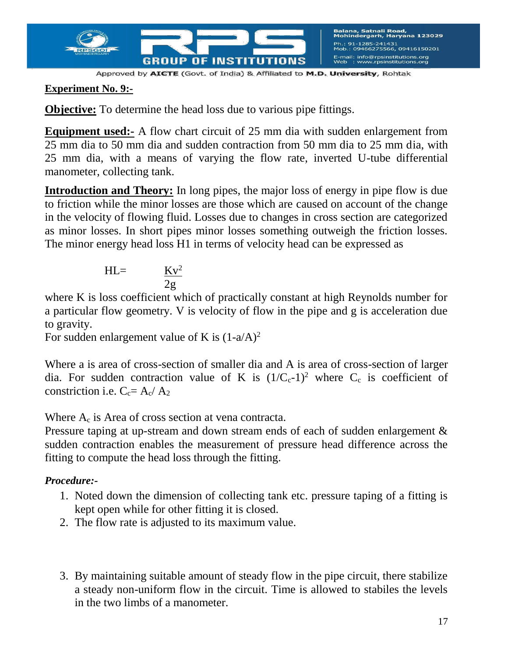

# **Experiment No. 9:-**

**Objective:** To determine the head loss due to various pipe fittings.

**Equipment used:** A flow chart circuit of 25 mm dia with sudden enlargement from 25 mm dia to 50 mm dia and sudden contraction from 50 mm dia to 25 mm dia, with 25 mm dia, with a means of varying the flow rate, inverted U-tube differential manometer, collecting tank.

**Introduction and Theory:** In long pipes, the major loss of energy in pipe flow is due to friction while the minor losses are those which are caused on account of the change in the velocity of flowing fluid. Losses due to changes in cross section are categorized as minor losses. In short pipes minor losses something outweigh the friction losses. The minor energy head loss H1 in terms of velocity head can be expressed as

$$
HL = \frac{Kv^2}{2g}
$$

where K is loss coefficient which of practically constant at high Reynolds number for a particular flow geometry. V is velocity of flow in the pipe and g is acceleration due to gravity.

For sudden enlargement value of K is  $(1-a/A)^2$ 

Where a is area of cross-section of smaller dia and A is area of cross-section of larger dia. For sudden contraction value of K is  $(1/C_c-1)^2$  where  $C_c$  is coefficient of constriction i.e.  $C_c = A_c / A_2$ 

Where  $A_c$  is Area of cross section at vena contracta.

Pressure taping at up-stream and down stream ends of each of sudden enlargement  $\&$ sudden contraction enables the measurement of pressure head difference across the fitting to compute the head loss through the fitting.

- 1. Noted down the dimension of collecting tank etc. pressure taping of a fitting is kept open while for other fitting it is closed.
- 2. The flow rate is adjusted to its maximum value.
- 3. By maintaining suitable amount of steady flow in the pipe circuit, there stabilize a steady non-uniform flow in the circuit. Time is allowed to stabiles the levels in the two limbs of a manometer.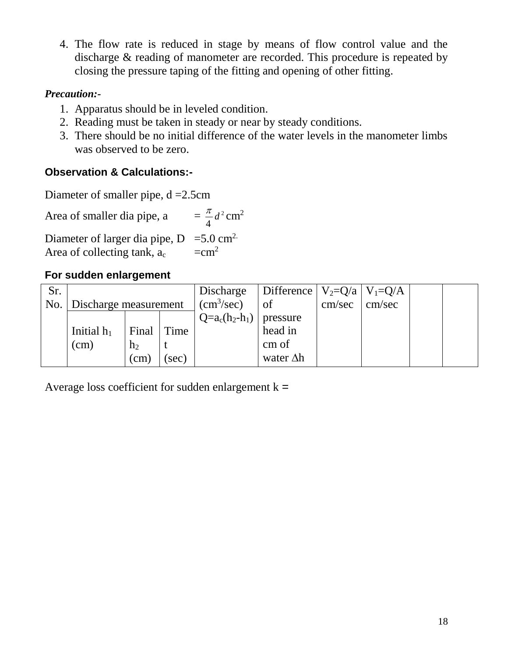4. The flow rate is reduced in stage by means of flow control value and the discharge & reading of manometer are recorded. This procedure is repeated by closing the pressure taping of the fitting and opening of other fitting.

# *Precaution:-*

- 1. Apparatus should be in leveled condition.
- 2. Reading must be taken in steady or near by steady conditions.
- 3. There should be no initial difference of the water levels in the manometer limbs was observed to be zero.

# **Observation & Calculations:-**

Diameter of smaller pipe, d =2.5cm

Area of smaller dia pipe, a = 2 4  $\frac{\pi}{4}$ *d*<sup>2</sup> cm<sup>2</sup>

Diameter of larger dia pipe,  $D = 5.0$  cm<sup>2.</sup> Area of collecting tank,  $a_c = cm^2$ 

# **For sudden enlargement**

| Sr. |                             |                |       | Discharge        | Difference   $V_2 = Q/a$   $V_1 = Q/A$ |        |        |  |
|-----|-----------------------------|----------------|-------|------------------|----------------------------------------|--------|--------|--|
|     | No.   Discharge measurement |                |       | $\rm (cm^3/sec)$ | of                                     | cm/sec | cm/sec |  |
|     |                             |                |       | $Q=a_c(h_2-h_1)$ | pressure                               |        |        |  |
|     | Initial $h_1$               | Final Time     |       |                  | head in                                |        |        |  |
|     | (cm)                        | h <sub>2</sub> |       |                  | cm of                                  |        |        |  |
|     |                             | (cm)           | (sec) |                  | water $\Delta h$                       |        |        |  |

Average loss coefficient for sudden enlargement  $k =$